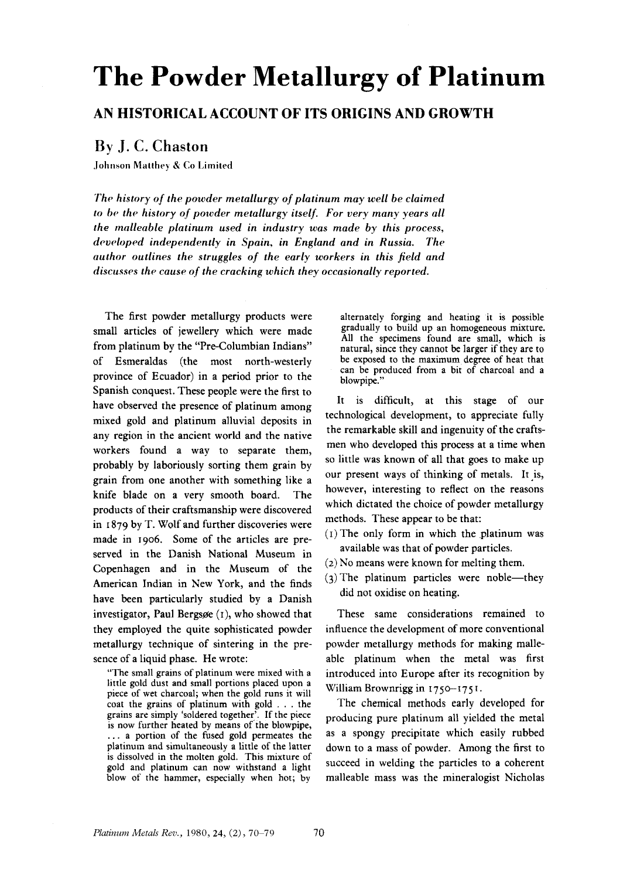# **The Powder Metallurgy of Platinum**

## **AN HISTORICAL ACCOUNT OF ITS ORIGINS AND GROWTH**

## **By** J. **C. Chaston**

.lolitison **Matthrj** *K* **Co Limited** 

*The history of the powder metallurgy of platinum may well be claimed to be the history of powder metallurgy itself. For very many years all the malleable platinum used in industry was made by this process, drvdoped independently in Spain, in England and in Russia. The author outlines the struggles of the early workers in this field and discusses the cause of the cracking which they occasionally reported.* 

The first powder metallurgy products were small articles of jewellery which were made from platinum by the "Pre-Columbian Indians" of Esmeraldas (the most north-westerly province of Ecuador) in a period prior to the Spanish conquest. These people were the first to have observed the presence of platinum among mixed gold and platinum alluvial deposits in any region in the ancient world and the native workers found a way to separate them, probably by laboriously sorting them grain by grain from one another with something like a knife blade on a very smooth board. The products of their craftsmanship were discovered in I **879** by T. Wolf and further discoveries were made in **1906.** Some of the articles are preserved in the Danish National Museum in Copenhagen and in the Museum of the American Indian in New York, and the finds have been particularly studied by a Danish investigator, Paul Bergsøe  $(1)$ , who showed that they employed the quite sophisticated powder metallurgy technique of sintering in the presence of a liquid phase. He wrote:

"The small grains of platinum were mixed with a little gold dust and small portions placed upon **a**  piece of wet charcoal; when the gold runs it will coat the grains of platinum with gold , . . the grains are simply 'soldered together'. If the piece is now further heated by means of the blowpipe, , . . a portion of the fused gold permeates the platinum and simultaneously a little of the latter is dissolved in the molten gold. This mixture of gold and platinum can now withstand a light blow of the hammer, especially when hot; by

alternately forging and heating it is possible gradually to build up an homogeneous mixture. All the specimens found are small, which is natural, since they cannot be larger if they are to be exposed to the maximum degree of heat that can be produced from a bit of charcoal and a blowpipe.'

It is difficult, at this stage of our technological development, to appreciate fully the remarkable skill and ingenuity of the craftsmen who developed this process at a time when so little was known of all that goes to make up our present ways of thinking of metals. It **js,**  however, interesting to reflect on the reasons which dictated the choice of powder metallurgy methods. These appear to be that:

- $(1)$  The only form in which the platinum was available was that **of** powder particles.
- *(2)* No means were known for melting them.
- $(3)$  The platinum particles were noble—they did not oxidise on heating.

These same considerations remained to influence the development **of** more conventional powder metallurgy methods for making malleable platinum when the metal was first introduced into Europe after its recognition by William Brownrigg in 1750-175 **I.** 

The chemical methods early developed for producing pure platinum all yielded the metal as a spongy precipitate which easily rubbed down to a mass of powder. Among the first to succeed in welding the particles to a coherent malleable mass was the mineralogist Nicholas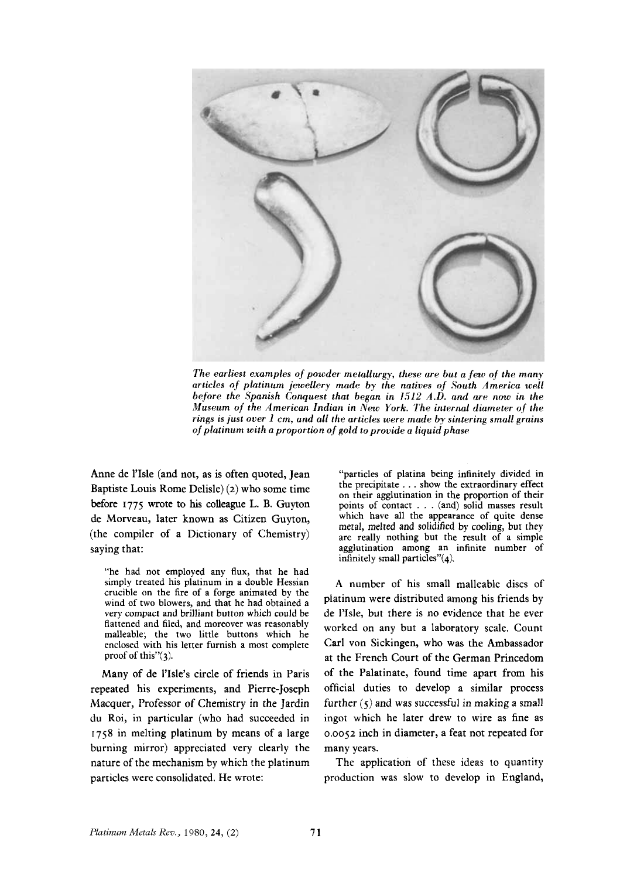

*The earliest examples of powder metallurgy, these are but a few of the many articles nf platinum jewellery made by the natives of South America well before the Spanish Conquest that began in 1512 A.D. and are now in the Museum of the American Indian in New York. The internal diameter of the rings is just over 1 cm, and all the articles were made by sintering small grains of platinum with a proportion of gold to provide a liquid phase* 

Anne de 1'Isle (and not, as is often quoted, Jean Baptiste Louis Rome Delisle) *(2)* who some time before **1775** wrote to **his** colleague L. B. Guyton de Morveau, later known as Citizen Guyton, (the compiler of a Dictionary of Chemistry) saying that:

"he had not employed any **flux,** that he had simply treated his platinum in a double Hessian crucible on the fire of a forge animated by the wind of two blowers, and that he had obtained a very compact and brilliant button which could be flattened and filed, and moreover was reasonably malleable; the two little buttons which he enclosed with his letter furnish a most complete proof of this"(3).

Many of **de 1'Isle's** circle of friends in Paris repeated his experiments, and Pierre-Joseph Macquer, Professor *of* Chemistry in the Jardin du Roi, in particular (who had succeeded in **1758** in melting platinum by means of a large burning mirror) appreciated **very** clearly the nature of the mechanism by which the platinum particles were consolidated. **He** wrote:

"particles of platina being infinitely divided in the precipitate . . . show the extraordinary effect on their agglutination in the proportion of their points of contact . . , (and) solid masses result which have all the appearance of quite dense metal, melted and solidified by cooling, but they are really nothing but the result of a simple agglutination among an infinite number of infinitely small particles"(4).

**A** number of his small malleable discs of platinum were distributed among his friends by de **I'Isle, but** there is no evidence that he ever worked on any but a laboratory scale. Count Carl von Sickingen, who was the Ambassador at the French Court of the German Princedom of the Palatinate, found time apart from his official duties to develop a similar process further (5) and was successful in making *a* small ingot which he later drew to wire as fine as 0.0052 inch in diameter, a feat not repeated for many years.

The application of these ideas to quantity production was slow to develop in England,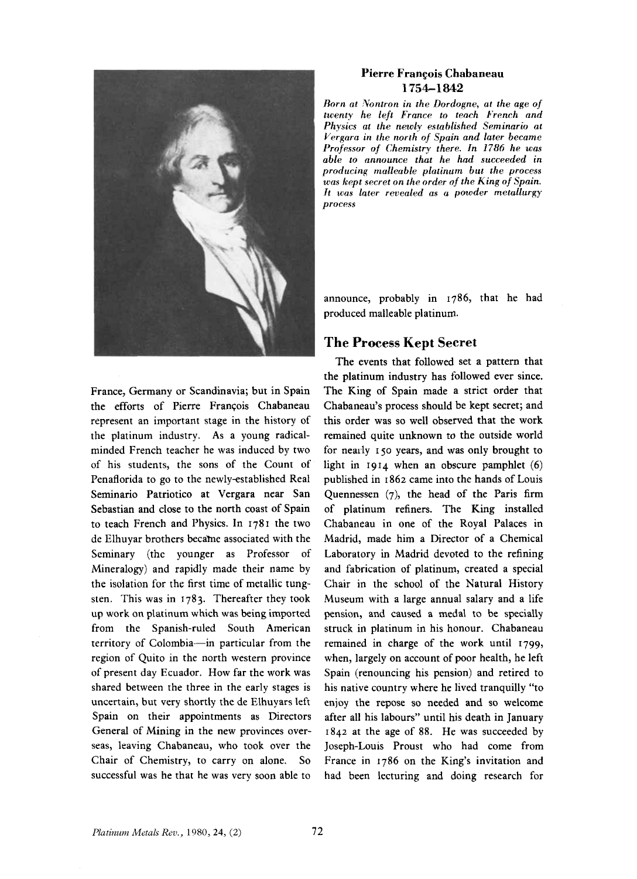

France, Germany or Scandinavia; but in Spain the efforts of Pierre François Chabaneau represent an important stage in the history of the platinum industry. As a young radicalminded French teacher he was induced by two of his students, the sons of the Count of Penaflorida to go to the newly-established Real Seminario Patriotic0 at Vergara near San Sebastian and close to the north coast of Spain to teach French and Physics. In 1781 the two de Elhuyar brothers becahe associated with the Seminary (the younger as Professor of Mineralogy) and rapidly made their name by the isolation for the first time of metallic tungsten. This was in 1783. Thereafter they took up **work** on platinum which was being imported from the Spanish-ruled South American territory of Colombia-in particular from the region of Quito in the north western province of present day Ecuador. How far the **work** was shared between the three in the early stages is uncertain, but very shortly the de Elhuyars left Spain on their appointments as Directors General of Mining in the new provinces overseas, leaving Chabaneau, who took over the Chair of Chemistry, to carry on alone. So successful was he that he was very soon able to

### **Pierre Francois Chabaneau 1754-1 842**

*Born at Xontron in the Dordogne, at the age of twenty he left France to teach French and Physics at the newly established Seminario at Vergara in the north of Spain and later became Professor of Chemistry there. In 1786 he* was *able to announce that he had succeeded in producing rrialleable platinurn but the process was kept secret on the order ofthe King of Spain. It was later revealed as a powder metallurgy process* 

announce, probably in 1786, that he had produced malleable platinum.

## **The Process Kept Secret**

The events that followed set a pattern that the platinum industry has followed ever since. The King of Spain made a strict order that Chabaneau's process should be kept secret; and this order was so well observed that the work remained quite unknown to the outside world for neaily **150** years, and **was** only brought to light in 1914 when an obscure pamphlet (6) published in I 862 came into the hands of Louis Quennessen (7), the head of the Paris firm of platinum refiners. The King installed Chabaneau in one of the Royal Palaces in Madrid, made him a Director of a Chemical Laboratory in Madrid devoted to the refining and fabrication of platinum, created a special Chair in the school of the Natural History Museum with a large annual salary and a life pension, and caused a medal to be specially struck in platinum in his honour. Chabaneau remained in charge of the work until 1799, when, largely on account of poor health, he left Spain (renouncing his pension) and retired to his native country where he lived tranquilly "to enjoy the **repose so** needed and **so** welcome after all his labours" until **his** death in January 1842 at the age of **88.** He was succeeded by Joseph-Louis Proust who had come from France in 1786 on the King's invitation and had been lecturing and doing research for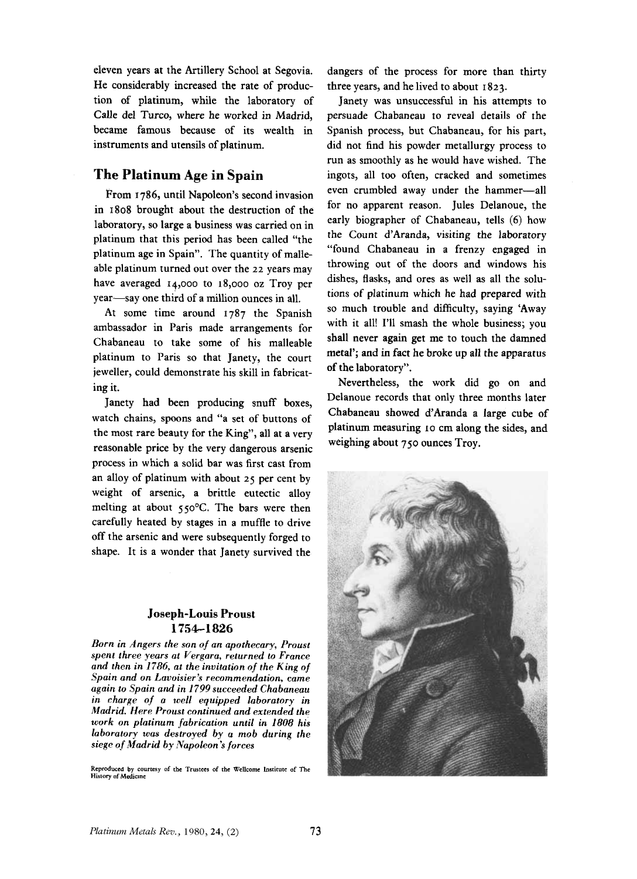eleven years at the Artillery School at Segovia. He considerably increased the rate of production of platinum, while the laboratory of Calle del Turco, where he worked in Madrid, became famous because **of** its wealth in instruments and utensils of platinum.

## **The Platinum Age in Spain**

From 1786, until Napoleon's second invasion in **1808** brought about the destruction of the laboratory, so large a business was carried on in platinum that this period has been called "the platinum age in Spain". The quantity of malleable platinum turned out over the *22* years may have averaged 14,000 to **18,000** oz Troy per year-say one third of a million ounces in all.

**At** some time around **1787** the Spanish ambassador in Paris made arrangements for Chabaneau to take some of his malleable platinum to Paris so that Janety, the court jeweller, could demonstrate his skill in fabricating it.

Janety had been producing snuff boxes, watch chains, spoons and "a set of buttons of the most rare beauty for the King", all at a very reasonable price by the very dangerous arsenic process in which a solid bar was first cast from an alloy of platinum with about *25* per cent by weight of arsenic, a brittle eutectic alloy melting at about 550°C. The bars were then carefully heated by stages in a muffle to drive off the arsenic and were subsequently forged to shape. It is a wonder that Janety survived the

### **Joseph-Louis Proust 1754-1 826**

Born in Angers the son of an apothecary, Proust *spent three years at Vergara, returned to France and then in 1786, at the invitation of the King of Spain and on Lavoisier's recommendation, came again to Spain and in 1799 succeeded Chabaneau in charge of a well equipped laboratory in Madrid. Here Proust continued and extended the work on platinum fabrication until in I808 his laboratory mas destroyed by* a *mob during the siege of Madrid by Napoleon's forces* 

**Reproduced by courtesy of the Trustees of the Wellcome Institute of The Hislory of Medicine** 

dangers of the process for more than thirty three years, and he lived to about **I 823.** 

Janety was unsuccessful in his attempts to persuade Chabaneau to reveal details of the Spanish process, but Chabaneau, for his part, did not find his powder metallurgy process to run as smoothly as he would have wished. The ingots, all too often, cracked and sometimes even crumbled away under the hammer-all for no apparent reason. Jules Delanoue, the early biographer of Chabaneau, tells (6) how the Count d'Aranda, visiting the laboratory "found Chabaneau in a frenzy engaged in throwing out of the doors and windows his dishes, flasks, and ores as well as all the solutions of platinum which he had prepared with so much trouble and difficulty, saying 'Away with it all! I'll smash the whole business; you shall never again get me to touch the damned metal'; and in fact he broke up all the apparatus of the laboratory".

Nevertheless, the work did go on and Delanoue records that only three months later Chabaneau showed d'Aranda a large cube of platinum measuring **10** crn along the sides, and weighing about **750** ounces Troy.

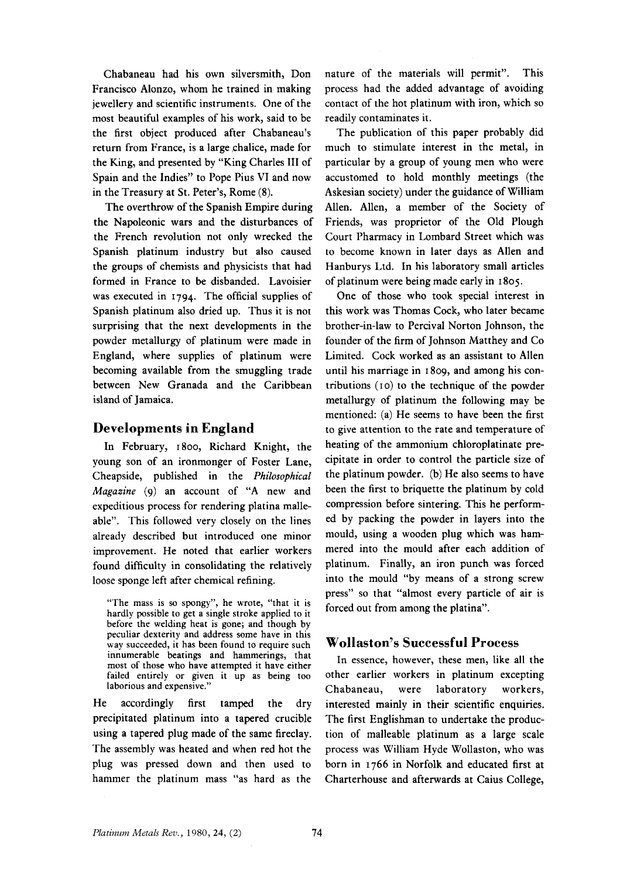Chabaneau had his own silversmith, Don Francisco Alonzo, whom he trained in making jewellery and scientific instruments. One of the most beautiful examples of his work, said to be the first object produced after Chabaneau's return from France, is a large chalice, made for the King, and presented by "King Charles **111** of Spain and the Indies" to Pope Pius **VI** and now in the Treasury at St. Peter's, Rome **(8).** 

The overthrow of the Spanish Empire during the Napoleonic wars and the disturbances of the French revolution not only wrecked the Spanish platinum industry but also caused the groups of chemists and physicists that had formed in France to be disbanded. Lavoisier **was** executed in **1794.** The official supplies of Spanish platinum also dried up. Thus it is not surprising that the next developments in the powder metallurgy of platinum were made in England, where supplies of platinum were becoming available from the smuggling trade between New Granada and the Caribbean island of Jamaica.

### **Developments in England**

In February, **1800,** Richard Knight, the young son of an ironmonger of Foster Lane, Cheapside, published in the *Philosophical Magazine (9)* an account of **"A** new and expeditious process for rendering platina malleable". This followed very closely on the lines already described but introduced one minor improvement. He noted that earlier workers found difficulty in consolidating the relatively loose sponge left after chemical refining.

**"The mass is** *so* **spongy", he wrote, "that it is hardly possible to get a single stroke applied to it before the welding heat is gone; and though** by **peculiar dexterity and address some have in this way succeeded, it has been found to require such innumerable beatings and hammerings, that most of those who have attempted it have either failed entirely** or **given it up as being too laborious and expensive."** 

He accordingly first tamped the dry precipitated platinum into a tapered crucible using a tapered plug made of the same fireclay. The assembly was heated and when red hot the plug was pressed down and then used to hammer the platinum mass "as hard as the

nature of the materials will permit". This process had the added advantage of avoiding contact of the hot platinum with iron, which **so**  readily contaminates it.

The publication of this paper probably did much to stimulate interest in the metal, in particular by a group of young men who were accustomed to hold monthly meetings (the Askesian society) under the guidance of William Allen. Allen, a member of the Society of Friends, was proprietor of the Old Plough Court Pharmacy in Lombard Street which was to become known in later days as Allen and Hanburys Ltd. In his laboratory small articles of platinum were being made early in **1805.** 

One of those who took special interest in this work was Thomas Cock, who later became brother-in-law to Percival Norton Johnson, the founder of the firm of Johnson Matthey and Co Limited. Cock worked as an assistant to Allen until his marriage in 1809, and among his contributions (10) to the technique of the powder metallurgy of platinum the following may be mentioned: (a) He seems to have been the first to give attention to the rate and temperature of heating of the ammonium chloroplatinate precipitate in order to control the particle **size** of the platinum powder. (b) He also seems to have been the first to briquette the platinum by cold compression before sintering. **This** he performed by packing the powder in layers into the mould, using a wooden plug which was hammered into the mould after each addition of platinum. Finally, an iron punch was forced into the mould "by means of a strong screw press" so that "almost every particle of air is forced out from among the platina".

#### **Wollaston's Successful Process**

In essence, however, these men, like all the other earlier workers in platinum excepting Chabaneau, were laboratory workers, interested mainly in their scientific enquiries. The first Englishman to undertake the production of malleable platinum as a large scale process was William Hyde Wollaston, who was born in **1766** in Norfolk and educated first at Charterhouse and afterwards at Caius College,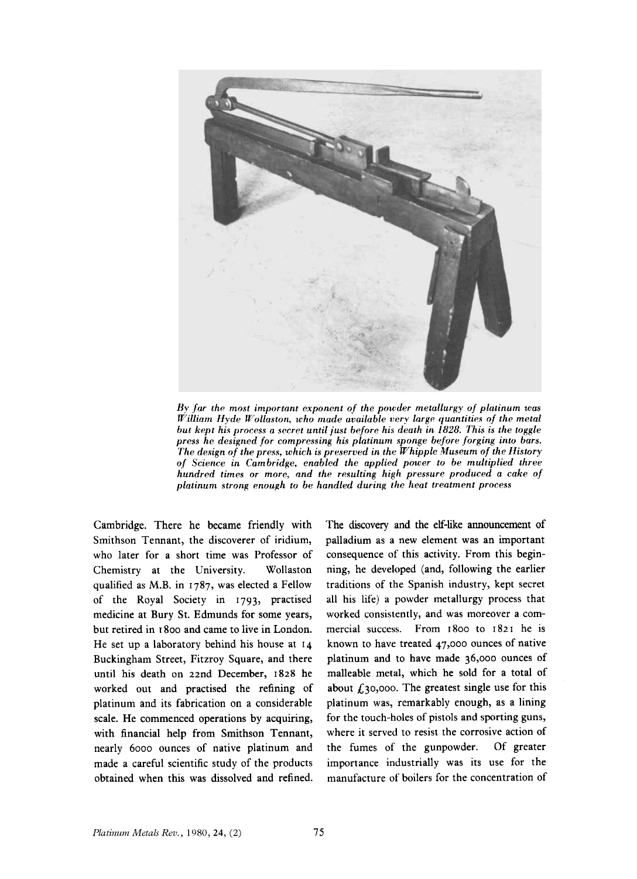

*By far the most important exponent of the powder metallurgy of platinum was William Hyde Follaston, who made available very largp quantitips of the metal but kept his process a secret until just before his death in 1828. This is the toggle press he designed for compressing his platinum sponge before forging into bars. The design of the press, which is presertwd in the Whipple Museum of the History of Science in Cambridge, enabled the applied power to be multiplied three hundred times or more, and the resulting high pressure produced a cake of platinum strong enough to be handled during the heat treatment process* 

Cambridge. There he became friendly with Smithson Tennant, the discoverer of iridium, who later for a short time was Professor of Chemistry at the University. Wollaston qualified as M.B. in **1787,** was elected a Fellow of the Royal Society in **1793,** practised medicine at Bury St. Edmunds for some years, but retired in **I 800** and came to live in London. He set up a laboratory behind his house at **14**  Buckingham Street, Fitzroy Square, and there until his death on 22nd December, **1828** he worked out and practised the refining of platinum and its fabrication on a considerable scale. He commenced operations by acquiring, with financial help from Smithson Tennant, nearly 6000 ounces of native platinum and made **a** careful scientific study of the products obtained when this was dissolved and refined. The discovery and the elf-like announcement of palladium as a new element was an important consequence of this activity. From this beginning, he developed (and, following the earlier traditions of the Spanish industry, kept secret all his life) a powder metallurgy process that worked consistently, and was moreover a commercial success. From **1800** to **1821** he is known to have treated **47,000** ounces of native platinum and to have made 36,000 ounces of malleable metal, which he sold for a total of about  $f_1$ 30,000. The greatest single use for this platinum was, remarkably enough, as a lining for the touch-holes of pistols and sporting guns, where it served to resist the corrosive action of the fumes of the gunpowder. Of greater importance industrially was its use for the manufacture of boilers for the concentration of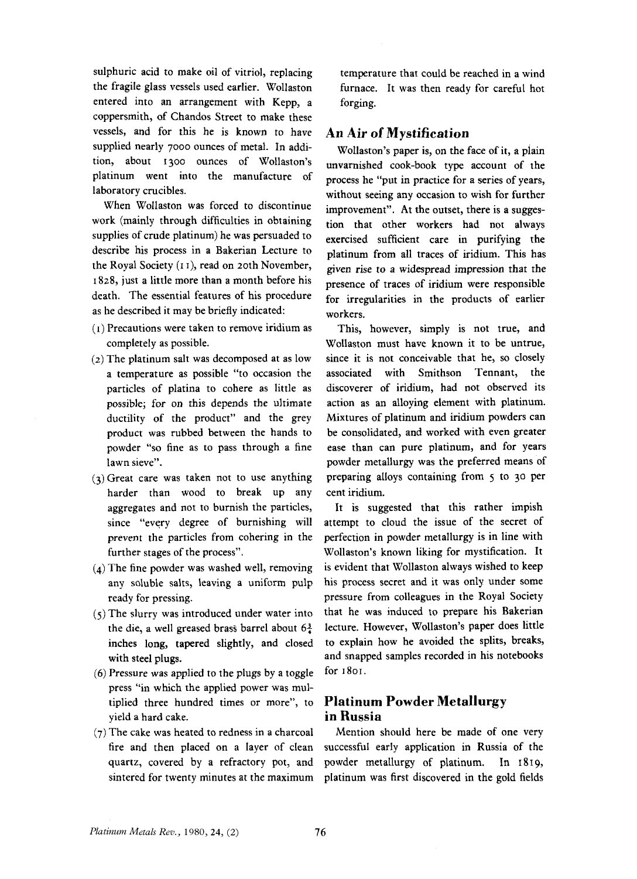sulphuric acid to make oil of vitriol, replacing the fragile glass vessels used earlier. Wollaston entered into an arrangement with Kepp, a coppersmith, of Chandos Street to make these vessels, and for this he is known to have supplied nearly 7000 ounces of metal. In addition, about 1300 ounces of Wollaston's platinum went into the manufacture of laboratory crucibles.

When Wollaston was forced to discontinue work (mainly through difficulties in obtaining supplies of crude platinum) he was persuaded to describe his process in a Bakerian Lecture to the Royal Society (I I), read on 20th November, I *828,* just a little more than a month before his death. The essential features of his procedure as he described it may be briefly indicated:

- **(I)** Precautions were taken to remove iridium as completely as possible.
- **(2)** The platinum salt was decomposed at as low a temperature as possible "to occasion the particles of platina to cohere as little as possible; for on this depends the ultimate ductility of the product" and the grey product was rubbed between the hands to powder **"so** fine as to pass through **a** fine lawn sieve".
- (3)Great care was taken not to use anything harder than wood to break **up** any aggregates and not to burnish the particles, since "every degree of burnishing will **prevent** the particles from cohering in the further stages of the process".
- **(4)** The fine powder was washed well, removing any soluble salts, leaving a uniform pulp ready for pressing.
- *(5)* The slurry was introduced under water into the die, a well greased brass barrel about  $6\frac{3}{4}$ inches long, tapered slightly, and closed with steel plugs.
- (6) Pressure was applied to the plugs by **a** toggle press "in which the applied power was multiplied three hundred times or more", to yield **a** hard cake.
- **(7)** The cake was heated to redness in a charcoal fire and then placed on a layer of clean quartz, covered by a refractory pot, and sintered for twenty minutes at the maximum

temperature that could be reached in a wind furnace. It was then ready for careful hot forging.

## **An Air of Mystification**

Wollaston's paper **is,** on the face **of** it, a plain unvarnished cook-book type account of the process he "put in practice for a series of years, without seeing any occasion to wish for further improvement". At the outset, there is a suggestion that other workers had not always exercised sufficient care in purifying the platinum from all traces of iridium. This has given rise to a widespread impression that the presence of traces of iridium were responsible for irregularities in the products of earlier workers.

This, however, simply is not true, and Wollaston must have known it to be untrue, since it is not conceivable that he, so closely associated with Smithson Tennant, the discoverer of iridium, had not observed its action as **an** alloying element with platinum. Mixtures of platinum and iridium powders can be consolidated, and worked with even greater ease than can pure platinum, and for years powder metallurgy was the preferred means of preparing alloys containing from *5* to 30 per cent iridium.

It is suggested that this rather impish attempt to cloud the issue of the secret of perfection in powder metallurgy is in line with Wollaston's known liking for mystification. It is evident that Wollaston always wished to keep his process secret and it was only under some pressure from colleagues in the Royal Society that he was induced to prepare his Bakerian lecture. However, Wollaston's paper does little to explain how he avoided the splits, breaks, and snapped samples recorded in his notebooks for **1801.** 

## **Platinum Powder Metallurgy in Russia**

Mention should here be made of one very successful early application in Russia of the powder metallurgy of platinum. In 1819, platinum was first discovered in the gold fields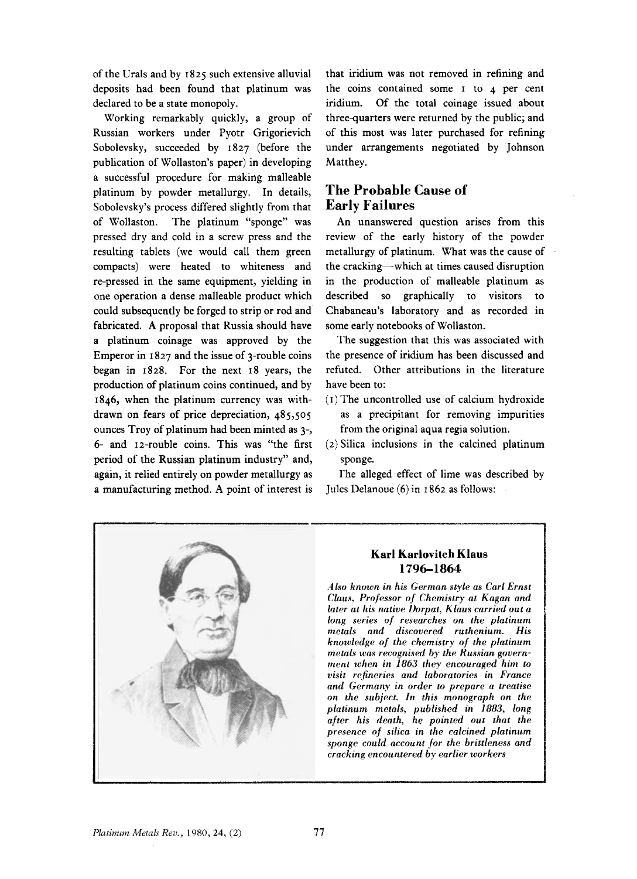of the Urals and by **I 825** such extensive alluvial deposits had been found that platinum was declared to be a state monopoly.

Working remarkably quickly, a group of Russian workers under Pyotr Grigorievich Sobolevsky, succeeded by 1827 (before the publication of Wollaston's paper) in developing a successful procedure for making malleable platinum by powder metallurgy. In details, Sobolevsky's process differed slightly from that of Wollaston. The platinum "sponge" was pressed dry and cold in a screw press and the resulting tablets (we would call them green compacts) were heated to whiteness and re-pressed in the same equipment, yielding in one operation a dense malleable product which could subsequently be forged to strip or rod and fabricated. **A** proposal that Russia should have a platinum coinage was approved by the Emperor in 1827 and the issue of 3-rouble coins began in **1828.** For the next **18** years, the production of platinum coins continued, and by **1846,** when the platinum currency was withdrawn on fears of price depreciation, **485,505**  ounces Troy of platinum had been minted as 3-, **6-** and 12-rouble coins. This was "the first period of the Russian platinum industry" and, again, it relied entirely on powder metallurgy as a manufacturing method. **A** point of interest is that iridium was not removed in refining and the coins contained some I to **4** per cent iridium. Of the total coinage issued about three-quarters were returned by the public; and of this most was later purchased for refining under arrangements negotiated by Johnson Matthey.

## **The Probable Cause of Early Failures**

An unanswered question arises from this review of the early history of the powder metallurgy of platinum. What was the cause of the cracking-which at times caused disruption in the production of malleable platinum as described **so** graphically to visitors to Chabaneau's laboratory and as recorded in some early notebooks of Wollaston.

The suggestion that this was associated with the presence of iridium has been discussed and refuted. Other attributions in the literature have been to:

- **(I)** The uncontrolled use of calcium hydroxide as a precipitant for removing impurities from the original aqua regia solution.
- **(2)** Silica inclusions in the calcined platinum sponge.

The alleged effect of lime was described by Jules Delanoue **(6)** in I **862** as **follows:** 



### **Karl Karlovitch Klaus 1796-1864**

*Also known in his German style as Carl Ernst Claus, Professor* of *Chemistry at Kagan and later at his native Dorpat, Klaus carried out a long series of researches on the platinum metals and discovered ruthenium. His knowledge* of *the chemistry* of *the platinum metals was recognised by the Russian government when in 1863 they encouraged him to*   $v$ *isit refineries and laboratories in France and Germany in order to prepare a treatise on the subject. In this monograph on the platinurn metals, published in 1883, long after his death, he pointed out that the presence of silica in the calcined platinum sponge could account for the brittleness and cracking encountered by earlier workers*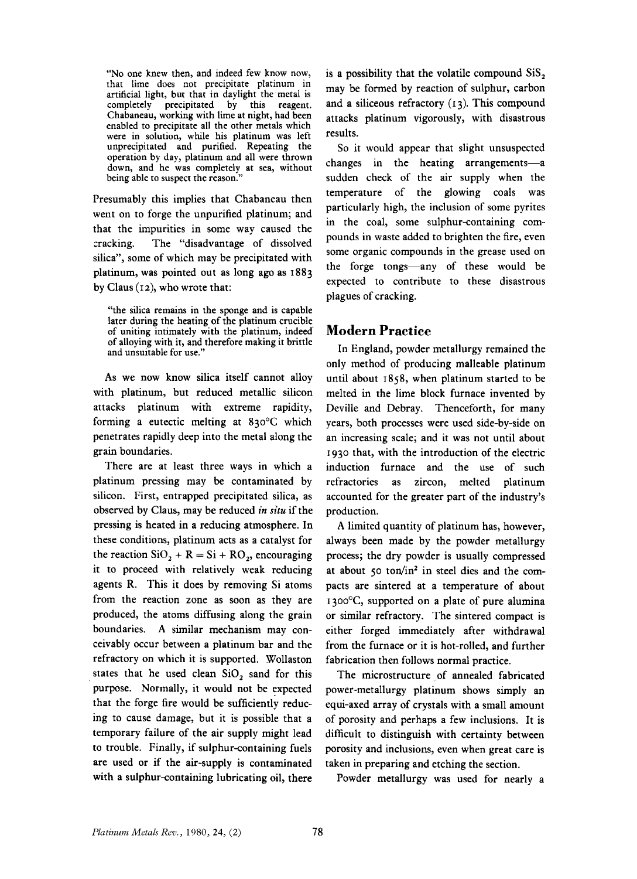"No one knew then, and indeed few know now, that lime does not precipitate platinum in artificial light, but that in daylight the metal is completely precipitated by this reagent. Chabaneau, working with lime at night, had been were in solution, while his platinum was left unprecipitated and purified. Repeating the operation by day, platinum and all were thrown down, and he was completely at sea, without being able to suspect the reason.'

Presumably this implies that Chabaneau then went on to forge the unpurified platinum; and that the impurities in some way caused the cracking. The "disadvantage of dissolved silica", some of which may be precipitated with platinum, was pointed out as long ago as 1883 by Claus (12), who wrote that:

"the silica remains in the sponge and is capable later during the heating of the platinum crucible of uniting intimately with the platinum, indeed of alloying with it, and therefore making it brittle and unsuitable for use."

As we now know silica itself cannot alloy with platinum, but reduced metallic silicon attacks platinum with extreme rapidity, forming a eutectic melting at *830°C* which penetrates rapidly deep into the metal along the grain boundaries.

There are at least three ways in which a platinum pressing may be contaminated by silicon. First, entrapped precipitated silica, as observed by Claus, may be reduced *in situ* if the pressing is heated in a reducing atmosphere. In these conditions, platinum acts as a catalyst for the reaction  $SiO_2 + R = Si + RO_2$ , encouraging it to proceed with relatively weak reducing agents R. This it does by removing Si atoms from the reaction zone as soon as they are produced, the atoms diffusing along the grain boundaries. A similar mechanism may conceivably occur between a platinum bar and the refractory on which it is supported. Wollaston states that he used clean  $SiO<sub>2</sub>$  sand for this purpose. Normally, it would not be expected that the forge fire would be sufficiently reducing to cause damage, but it is possible that a temporary failure of the air supply might lead to trouble. Finally, if sulphur-containing fuels are used or if the air-supply is contaminated with a sulphur-containing lubricating oil, there is a possibility that the volatile compound SiS, may be formed by reaction of sulphur, carbon and a siliceous refractory **(13).** This compound attacks platinum vigorously, with disastrous results.

So it would appear that slight unsuspected changes in the heating arrangements-a sudden check of the air supply when the temperature of the glowing coals was particularly high, the inclusion of some pyrites in the coal, some sulphur-containing compounds in waste added to brighten the fire, even some organic compounds in the grease used on the forge tongs-any of these would be expected to contribute to these disastrous plagues of cracking.

## **Modern Practice**

In England, powder metallurgy remained the only method of producing malleable platinum until about **1858,** when platinum started to be melted in the lime block furnace invented by Deville and Debray. Thenceforth, for many years, both processes were used side-by-side on an increasing scale; and it was not until about **1930** that, with the introduction of the electric induction furnace and the use of such refractories as zircon, melted platinum accounted for the greater part of the industry's production.

A limited quantity of platinum has, however, always been made by the powder metallurgy process; the dry powder is usually compressed at about 50 ton/in<sup>2</sup> in steel dies and the compacts are sintered at a temperature of about  $1300^{\circ}$ C, supported on a plate of pure alumina or similar refractory. The sintered compact is either forged immediately after withdrawal from the furnace or it is hot-rolled, and further fabrication then follows normal practice.

The microstructure of annealed fabricated power-metallurgy platinum shows simply an equi-axed array of crystals with a small amount of porosity and perhaps a few inclusions. It is difficult to distinguish with certainty between porosity and inclusions, even when great care is taken in preparing and etching the section.

Powder metallurgy was used for nearly a